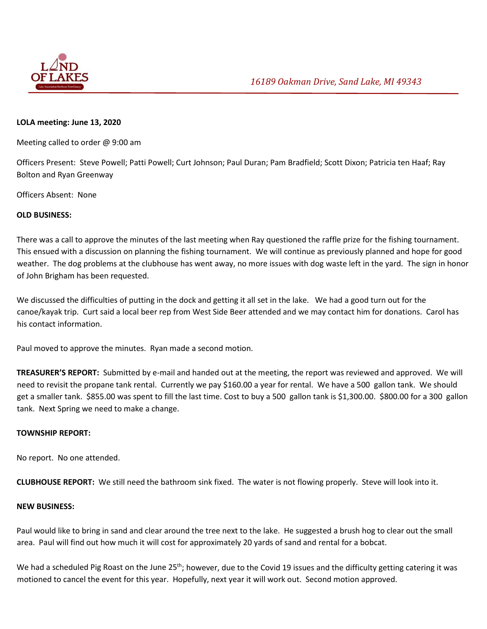

## **LOLA meeting: June 13, 2020**

Meeting called to order @ 9:00 am

Officers Present: Steve Powell; Patti Powell; Curt Johnson; Paul Duran; Pam Bradfield; Scott Dixon; Patricia ten Haaf; Ray Bolton and Ryan Greenway

Officers Absent: None

## **OLD BUSINESS:**

There was a call to approve the minutes of the last meeting when Ray questioned the raffle prize for the fishing tournament. This ensued with a discussion on planning the fishing tournament. We will continue as previously planned and hope for good weather. The dog problems at the clubhouse has went away, no more issues with dog waste left in the yard. The sign in honor of John Brigham has been requested.

We discussed the difficulties of putting in the dock and getting it all set in the lake. We had a good turn out for the canoe/kayak trip. Curt said a local beer rep from West Side Beer attended and we may contact him for donations. Carol has his contact information.

Paul moved to approve the minutes. Ryan made a second motion.

**TREASURER'S REPORT:** Submitted by e-mail and handed out at the meeting, the report was reviewed and approved. We will need to revisit the propane tank rental. Currently we pay \$160.00 a year for rental. We have a 500 gallon tank. We should get a smaller tank. \$855.00 was spent to fill the last time. Cost to buy a 500 gallon tank is \$1,300.00. \$800.00 for a 300 gallon tank. Next Spring we need to make a change.

## **TOWNSHIP REPORT:**

No report. No one attended.

**CLUBHOUSE REPORT:** We still need the bathroom sink fixed. The water is not flowing properly. Steve will look into it.

## **NEW BUSINESS:**

Paul would like to bring in sand and clear around the tree next to the lake. He suggested a brush hog to clear out the small area. Paul will find out how much it will cost for approximately 20 yards of sand and rental for a bobcat.

We had a scheduled Pig Roast on the June 25<sup>th</sup>; however, due to the Covid 19 issues and the difficulty getting catering it was motioned to cancel the event for this year. Hopefully, next year it will work out. Second motion approved.